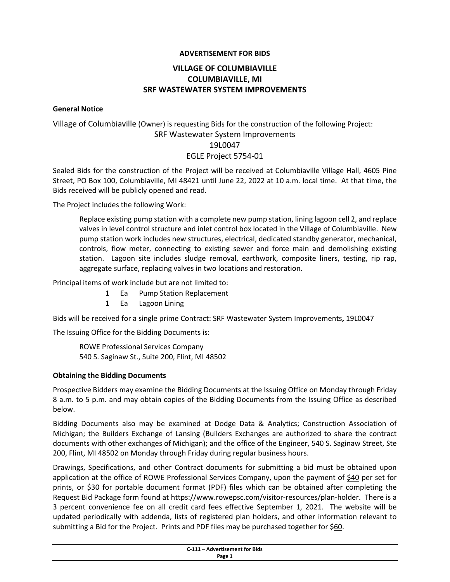### **ADVERTISEMENT FOR BIDS**

# **VILLAGE OF COLUMBIAVILLE COLUMBIAVILLE, MI SRF WASTEWATER SYSTEM IMPROVEMENTS**

#### **General Notice**

# Village of Columbiaville (Owner) is requesting Bids for the construction of the following Project: SRF Wastewater System Improvements 19L0047 EGLE Project 5754‐01

Sealed Bids for the construction of the Project will be received at Columbiaville Village Hall, 4605 Pine Street, PO Box 100, Columbiaville, MI 48421 until June 22, 2022 at 10 a.m. local time. At that time, the Bids received will be publicly opened and read.

The Project includes the following Work:

Replace existing pump station with a complete new pump station, lining lagoon cell 2, and replace valves in level control structure and inlet control box located in the Village of Columbiaville. New pump station work includes new structures, electrical, dedicated standby generator, mechanical, controls, flow meter, connecting to existing sewer and force main and demolishing existing station. Lagoon site includes sludge removal, earthwork, composite liners, testing, rip rap, aggregate surface, replacing valves in two locations and restoration.

Principal items of work include but are not limited to:

- 1 Ea Pump Station Replacement
- 1 Ea Lagoon Lining

Bids will be received for a single prime Contract: SRF Wastewater System Improvements**,** 19L0047

The Issuing Office for the Bidding Documents is:

ROWE Professional Services Company 540 S. Saginaw St., Suite 200, Flint, MI 48502

#### **Obtaining the Bidding Documents**

Prospective Bidders may examine the Bidding Documents at the Issuing Office on Monday through Friday 8 a.m. to 5 p.m. and may obtain copies of the Bidding Documents from the Issuing Office as described below.

Bidding Documents also may be examined at Dodge Data & Analytics; Construction Association of Michigan; the Builders Exchange of Lansing (Builders Exchanges are authorized to share the contract documents with other exchanges of Michigan); and the office of the Engineer, 540 S. Saginaw Street, Ste 200, Flint, MI 48502 on Monday through Friday during regular business hours.

Drawings, Specifications, and other Contract documents for submitting a bid must be obtained upon application at the office of ROWE Professional Services Company, upon the payment of \$40 per set for prints, or \$30 for portable document format (PDF) files which can be obtained after completing the Request Bid Package form found at https://www.rowepsc.com/visitor-resources/plan-holder. There is a 3 percent convenience fee on all credit card fees effective September 1, 2021. The website will be updated periodically with addenda, lists of registered plan holders, and other information relevant to submitting a Bid for the Project. Prints and PDF files may be purchased together for \$60.

|        | C-111 - Advertisement for Bids<br>. |  |
|--------|-------------------------------------|--|
| Page 1 |                                     |  |